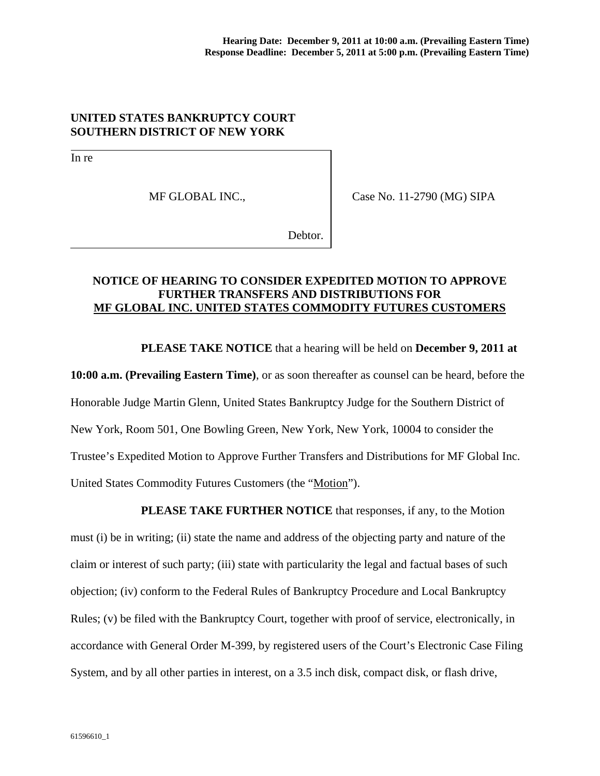## **UNITED STATES BANKRUPTCY COURT SOUTHERN DISTRICT OF NEW YORK**

In re

MF GLOBAL INC.,

Case No. 11-2790 (MG) SIPA

Debtor.

## **NOTICE OF HEARING TO CONSIDER EXPEDITED MOTION TO APPROVE FURTHER TRANSFERS AND DISTRIBUTIONS FOR MF GLOBAL INC. UNITED STATES COMMODITY FUTURES CUSTOMERS**

 **PLEASE TAKE NOTICE** that a hearing will be held on **December 9, 2011 at** 

**10:00 a.m. (Prevailing Eastern Time)**, or as soon thereafter as counsel can be heard, before the Honorable Judge Martin Glenn, United States Bankruptcy Judge for the Southern District of New York, Room 501, One Bowling Green, New York, New York, 10004 to consider the Trustee's Expedited Motion to Approve Further Transfers and Distributions for MF Global Inc. United States Commodity Futures Customers (the "Motion").

**PLEASE TAKE FURTHER NOTICE** that responses, if any, to the Motion must (i) be in writing; (ii) state the name and address of the objecting party and nature of the claim or interest of such party; (iii) state with particularity the legal and factual bases of such objection; (iv) conform to the Federal Rules of Bankruptcy Procedure and Local Bankruptcy Rules; (v) be filed with the Bankruptcy Court, together with proof of service, electronically, in accordance with General Order M-399, by registered users of the Court's Electronic Case Filing System, and by all other parties in interest, on a 3.5 inch disk, compact disk, or flash drive,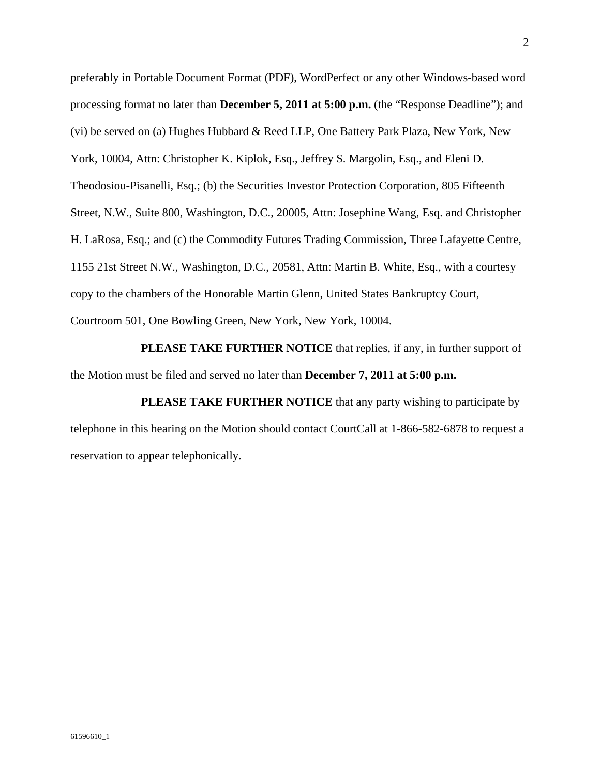preferably in Portable Document Format (PDF), WordPerfect or any other Windows-based word processing format no later than **December 5, 2011 at 5:00 p.m.** (the "Response Deadline"); and (vi) be served on (a) Hughes Hubbard & Reed LLP, One Battery Park Plaza, New York, New York, 10004, Attn: Christopher K. Kiplok, Esq., Jeffrey S. Margolin, Esq., and Eleni D. Theodosiou-Pisanelli, Esq.; (b) the Securities Investor Protection Corporation, 805 Fifteenth Street, N.W., Suite 800, Washington, D.C., 20005, Attn: Josephine Wang, Esq. and Christopher H. LaRosa, Esq.; and (c) the Commodity Futures Trading Commission, Three Lafayette Centre, 1155 21st Street N.W., Washington, D.C., 20581, Attn: Martin B. White, Esq., with a courtesy copy to the chambers of the Honorable Martin Glenn, United States Bankruptcy Court, Courtroom 501, One Bowling Green, New York, New York, 10004.

**PLEASE TAKE FURTHER NOTICE** that replies, if any, in further support of the Motion must be filed and served no later than **December 7, 2011 at 5:00 p.m.**

**PLEASE TAKE FURTHER NOTICE** that any party wishing to participate by telephone in this hearing on the Motion should contact CourtCall at 1-866-582-6878 to request a reservation to appear telephonically.